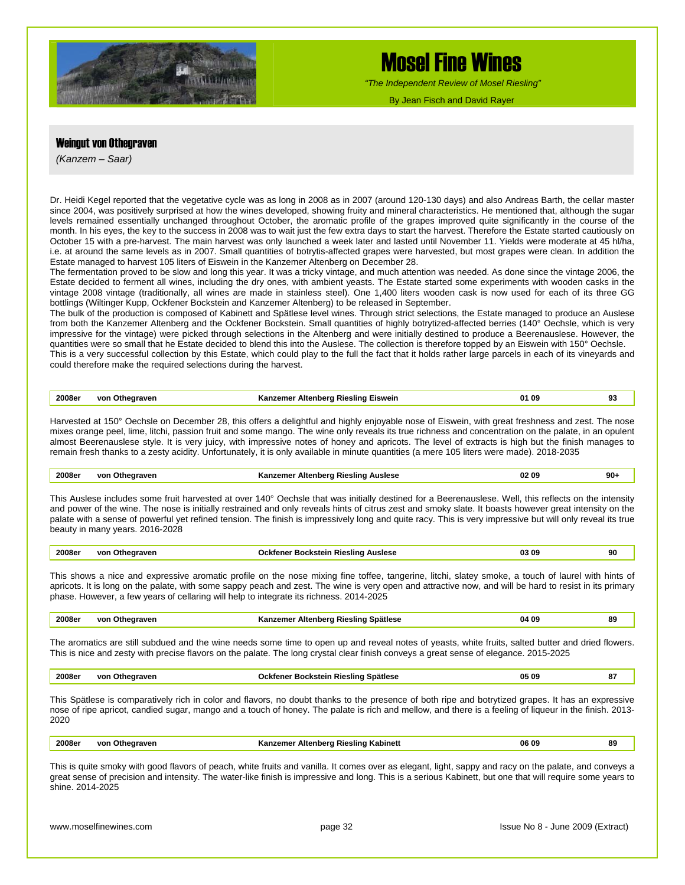

## Mosel Fine Wines

 *"The Independent Review of Mosel Riesling"*

By Jean Fisch and David Rayer

#### Weingut von Othegraven

*(Kanzem – Saar)* 

Dr. Heidi Kegel reported that the vegetative cycle was as long in 2008 as in 2007 (around 120-130 days) and also Andreas Barth, the cellar master since 2004, was positively surprised at how the wines developed, showing fruity and mineral characteristics. He mentioned that, although the sugar levels remained essentially unchanged throughout October, the aromatic profile of the grapes improved quite significantly in the course of the month. In his eyes, the key to the success in 2008 was to wait just the few extra days to start the harvest. Therefore the Estate started cautiously on October 15 with a pre-harvest. The main harvest was only launched a week later and lasted until November 11. Yields were moderate at 45 hl/ha, i.e. at around the same levels as in 2007. Small quantities of botrytis-affected grapes were harvested, but most grapes were clean. In addition the Estate managed to harvest 105 liters of Eiswein in the Kanzemer Altenberg on December 28.

The fermentation proved to be slow and long this year. It was a tricky vintage, and much attention was needed. As done since the vintage 2006, the Estate decided to ferment all wines, including the dry ones, with ambient yeasts. The Estate started some experiments with wooden casks in the vintage 2008 vintage (traditionally, all wines are made in stainless steel). One 1,400 liters wooden cask is now used for each of its three GG bottlings (Wiltinger Kupp, Ockfener Bockstein and Kanzemer Altenberg) to be released in September.

The bulk of the production is composed of Kabinett and Spätlese level wines. Through strict selections, the Estate managed to produce an Auslese from both the Kanzemer Altenberg and the Ockfener Bockstein. Small quantities of highly botrytized-affected berries (140° Oechsle, which is very impressive for the vintage) were picked through selections in the Altenberg and were initially destined to produce a Beerenauslese. However, the quantities were so small that he Estate decided to blend this into the Auslese. The collection is therefore topped by an Eiswein with 150° Oechsle. This is a very successful collection by this Estate, which could play to the full the fact that it holds rather large parcels in each of its vineyards and

could therefore make the required selections during the harvest.

| 2008er<br>. | uthenraver<br>vor<br>76 L<br>. . | Eiswein<br>$\sim$ D $\sim$<br>.slinc<br>enner<br>em<br>АП.<br>rа | . 09<br>п.<br>. | 02<br>ື |
|-------------|----------------------------------|------------------------------------------------------------------|-----------------|---------|
|-------------|----------------------------------|------------------------------------------------------------------|-----------------|---------|

Harvested at 150° Oechsle on December 28, this offers a delightful and highly enjoyable nose of Eiswein, with great freshness and zest. The nose mixes orange peel, lime, litchi, passion fruit and some mango. The wine only reveals its true richness and concentration on the palate, in an opulent almost Beerenauslese style. It is very juicy, with impressive notes of honey and apricots. The level of extracts is high but the finish manages to remain fresh thanks to a zesty acidity. Unfortunately, it is only available in minute quantities (a mere 105 liters were made). 2018-2035

| 2008er | von Othegrave |
|--------|---------------|
|        |               |

**2008er von Othegraven Kanzemer Altenberg Riesling Auslese 02 09 90+** 

This Auslese includes some fruit harvested at over 140° Oechsle that was initially destined for a Beerenauslese. Well, this reflects on the intensity and power of the wine. The nose is initially restrained and only reveals hints of citrus zest and smoky slate. It boasts however great intensity on the palate with a sense of powerful yet refined tension. The finish is impressively long and quite racy. This is very impressive but will only reveal its true beauty in many years. 2016-2028

| 2008e.<br>. | voı<br>ימעפ<br>vcı<br>the control of the control of | Rieslind<br>Auslese<br>. Jek<br>---------<br>. | 0309 | 90 |
|-------------|-----------------------------------------------------|------------------------------------------------|------|----|
|             |                                                     |                                                |      |    |

This shows a nice and expressive aromatic profile on the nose mixing fine toffee, tangerine, litchi, slatey smoke, a touch of laurel with hints of apricots. It is long on the palate, with some sappy peach and zest. The wine is very open and attractive now, and will be hard to resist in its primary phase. However, a few years of cellaring will help to integrate its richness. 2014-2025

| 2008er | vor<br><b>nraver</b> | <b>Spatiese</b><br>na | : 09<br>04 | 89 |
|--------|----------------------|-----------------------|------------|----|
|        |                      |                       |            |    |

The aromatics are still subdued and the wine needs some time to open up and reveal notes of yeasts, white fruits, salted butter and dried flowers. This is nice and zesty with precise flavors on the palate. The long crystal clear finish conveys a great sense of elegance. 2015-2025

| 2008er<br>. | vor<br>raver | ∵ Kieslınr<br>Spätlese<br>. fair<br>puunsieiii<br>. | i 09<br>ึก แ<br>uj<br>. | $\sim$<br>87<br>$\sim$ |
|-------------|--------------|-----------------------------------------------------|-------------------------|------------------------|
|             |              |                                                     |                         |                        |

This Spätlese is comparatively rich in color and flavors, no doubt thanks to the presence of both ripe and botrytized grapes. It has an expressive nose of ripe apricot, candied sugar, mango and a touch of honey. The palate is rich and mellow, and there is a feeling of liqueur in the finish. 2013- 2020

| 2008er | VOL.<br>Othearaven | Altenbera<br>Kabinett<br>Kanzemer<br>ı Rieslina | 06 09 | 89 |
|--------|--------------------|-------------------------------------------------|-------|----|
|--------|--------------------|-------------------------------------------------|-------|----|

This is quite smoky with good flavors of peach, white fruits and vanilla. It comes over as elegant, light, sappy and racy on the palate, and conveys a great sense of precision and intensity. The water-like finish is impressive and long. This is a serious Kabinett, but one that will require some years to shine. 2014-2025